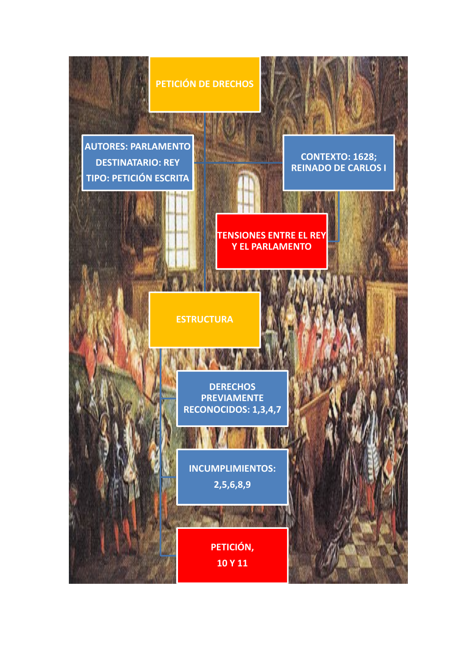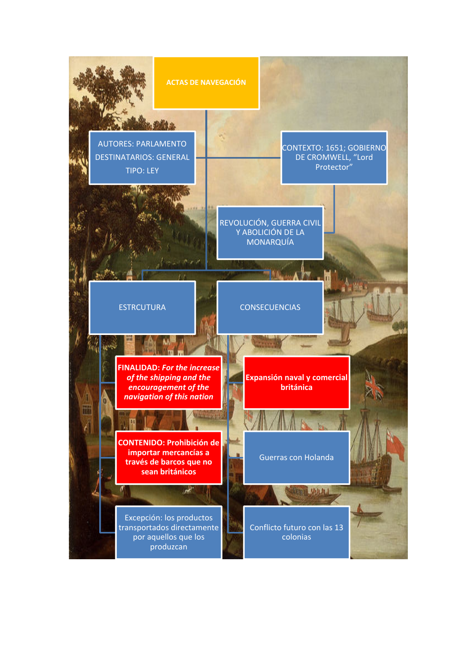